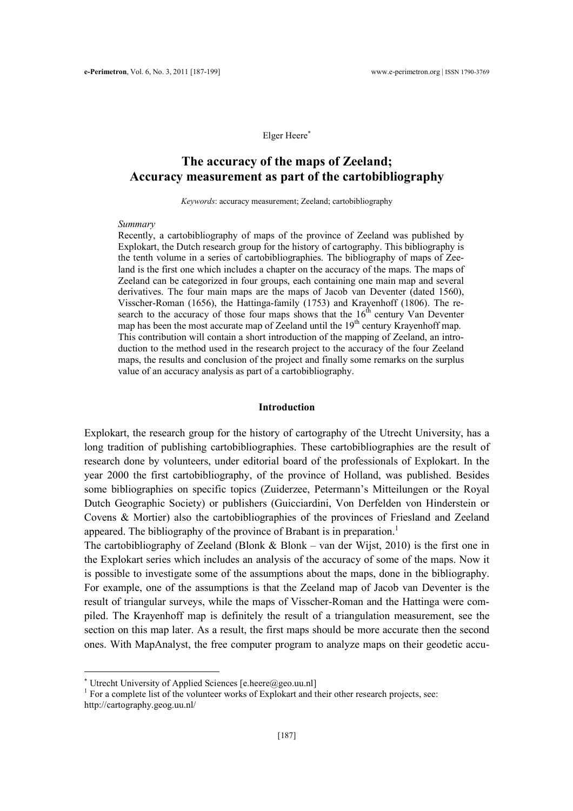### Elger Heere<sup>∗</sup>

# The accuracy of the maps of Zeeland; Accuracy measurement as part of the cartobibliography

Keywords: accuracy measurement; Zeeland; cartobibliography

#### Summary

Recently, a cartobibliography of maps of the province of Zeeland was published by Explokart, the Dutch research group for the history of cartography. This bibliography is the tenth volume in a series of cartobibliographies. The bibliography of maps of Zeeland is the first one which includes a chapter on the accuracy of the maps. The maps of Zeeland can be categorized in four groups, each containing one main map and several derivatives. The four main maps are the maps of Jacob van Deventer (dated 1560), Visscher-Roman (1656), the Hattinga-family (1753) and Krayenhoff (1806). The research to the accuracy of those four maps shows that the  $16<sup>th</sup>$  century Van Deventer map has been the most accurate map of Zeeland until the 19<sup>th</sup> century Krayenhoff map. This contribution will contain a short introduction of the mapping of Zeeland, an introduction to the method used in the research project to the accuracy of the four Zeeland maps, the results and conclusion of the project and finally some remarks on the surplus value of an accuracy analysis as part of a cartobibliography.

# Introduction

Explokart, the research group for the history of cartography of the Utrecht University, has a long tradition of publishing cartobibliographies. These cartobibliographies are the result of research done by volunteers, under editorial board of the professionals of Explokart. In the year 2000 the first cartobibliography, of the province of Holland, was published. Besides some bibliographies on specific topics (Zuiderzee, Petermann's Mitteilungen or the Royal Dutch Geographic Society) or publishers (Guicciardini, Von Derfelden von Hinderstein or Covens & Mortier) also the cartobibliographies of the provinces of Friesland and Zeeland appeared. The bibliography of the province of Brabant is in preparation.<sup>1</sup>

The cartobibliography of Zeeland (Blonk  $\&$  Blonk – van der Wijst, 2010) is the first one in the Explokart series which includes an analysis of the accuracy of some of the maps. Now it is possible to investigate some of the assumptions about the maps, done in the bibliography. For example, one of the assumptions is that the Zeeland map of Jacob van Deventer is the result of triangular surveys, while the maps of Visscher-Roman and the Hattinga were compiled. The Krayenhoff map is definitely the result of a triangulation measurement, see the section on this map later. As a result, the first maps should be more accurate then the second ones. With MapAnalyst, the free computer program to analyze maps on their geodetic accu-

 $\overline{a}$ 

<sup>∗</sup> Utrecht University of Applied Sciences [e.heere@geo.uu.nl]

<sup>&</sup>lt;sup>1</sup> For a complete list of the volunteer works of Explokart and their other research projects, see:

http://cartography.geog.uu.nl/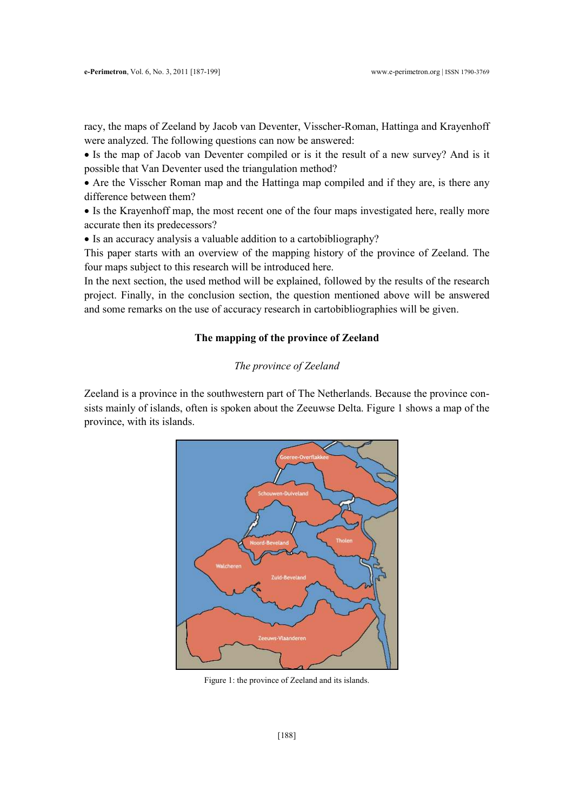racy, the maps of Zeeland by Jacob van Deventer, Visscher-Roman, Hattinga and Krayenhoff were analyzed. The following questions can now be answered:

• Is the map of Jacob van Deventer compiled or is it the result of a new survey? And is it possible that Van Deventer used the triangulation method?

• Are the Visscher Roman map and the Hattinga map compiled and if they are, is there any difference between them?

• Is the Krayenhoff map, the most recent one of the four maps investigated here, really more accurate then its predecessors?

• Is an accuracy analysis a valuable addition to a cartobibliography?

This paper starts with an overview of the mapping history of the province of Zeeland. The four maps subject to this research will be introduced here.

In the next section, the used method will be explained, followed by the results of the research project. Finally, in the conclusion section, the question mentioned above will be answered and some remarks on the use of accuracy research in cartobibliographies will be given.

## The mapping of the province of Zeeland

# The province of Zeeland

Zeeland is a province in the southwestern part of The Netherlands. Because the province consists mainly of islands, often is spoken about the Zeeuwse Delta. Figure 1 shows a map of the province, with its islands.



Figure 1: the province of Zeeland and its islands.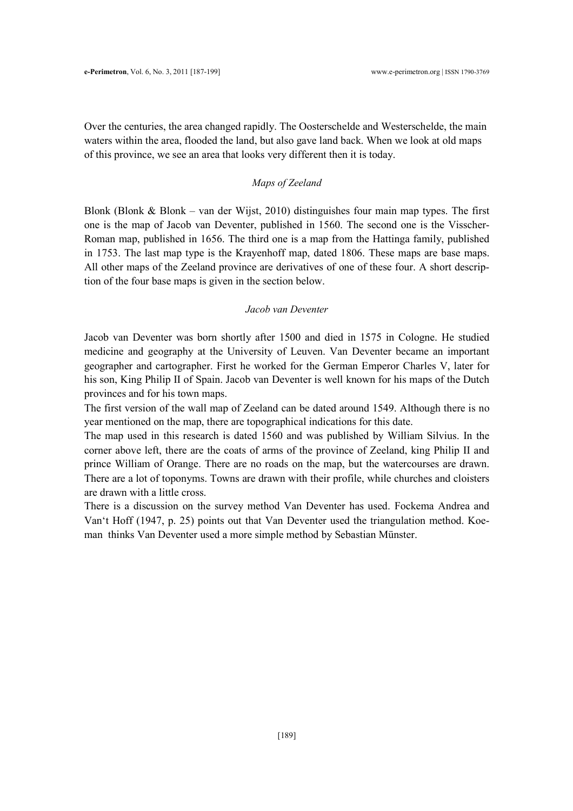Over the centuries, the area changed rapidly. The Oosterschelde and Westerschelde, the main waters within the area, flooded the land, but also gave land back. When we look at old maps of this province, we see an area that looks very different then it is today.

## Maps of Zeeland

Blonk (Blonk  $\&$  Blonk – van der Wijst, 2010) distinguishes four main map types. The first one is the map of Jacob van Deventer, published in 1560. The second one is the Visscher-Roman map, published in 1656. The third one is a map from the Hattinga family, published in 1753. The last map type is the Krayenhoff map, dated 1806. These maps are base maps. All other maps of the Zeeland province are derivatives of one of these four. A short description of the four base maps is given in the section below.

### Jacob van Deventer

Jacob van Deventer was born shortly after 1500 and died in 1575 in Cologne. He studied medicine and geography at the University of Leuven. Van Deventer became an important geographer and cartographer. First he worked for the German Emperor Charles V, later for his son, King Philip II of Spain. Jacob van Deventer is well known for his maps of the Dutch provinces and for his town maps.

The first version of the wall map of Zeeland can be dated around 1549. Although there is no year mentioned on the map, there are topographical indications for this date.

The map used in this research is dated 1560 and was published by William Silvius. In the corner above left, there are the coats of arms of the province of Zeeland, king Philip II and prince William of Orange. There are no roads on the map, but the watercourses are drawn. There are a lot of toponyms. Towns are drawn with their profile, while churches and cloisters are drawn with a little cross.

There is a discussion on the survey method Van Deventer has used. Fockema Andrea and Van't Hoff (1947, p. 25) points out that Van Deventer used the triangulation method. Koeman thinks Van Deventer used a more simple method by Sebastian Münster.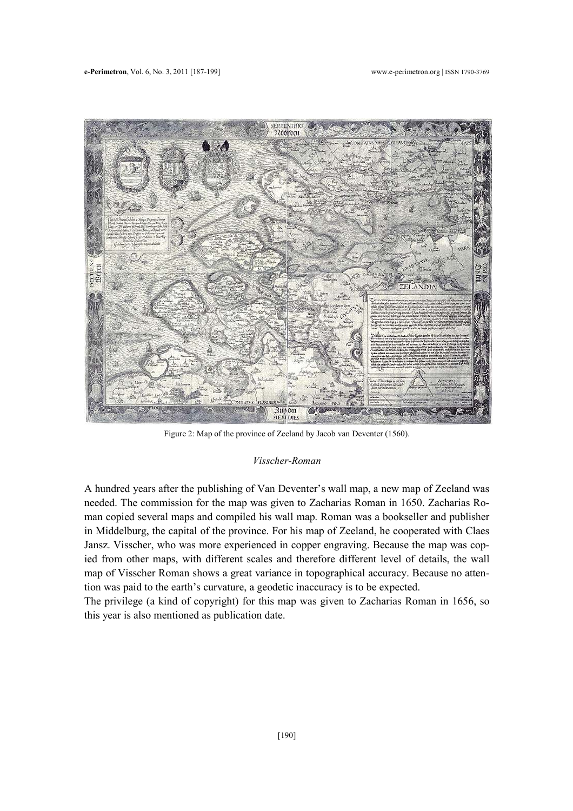

Figure 2: Map of the province of Zeeland by Jacob van Deventer (1560).

### Visscher-Roman

A hundred years after the publishing of Van Deventer's wall map, a new map of Zeeland was needed. The commission for the map was given to Zacharias Roman in 1650. Zacharias Roman copied several maps and compiled his wall map. Roman was a bookseller and publisher in Middelburg, the capital of the province. For his map of Zeeland, he cooperated with Claes Jansz. Visscher, who was more experienced in copper engraving. Because the map was copied from other maps, with different scales and therefore different level of details, the wall map of Visscher Roman shows a great variance in topographical accuracy. Because no attention was paid to the earth's curvature, a geodetic inaccuracy is to be expected.

The privilege (a kind of copyright) for this map was given to Zacharias Roman in 1656, so this year is also mentioned as publication date.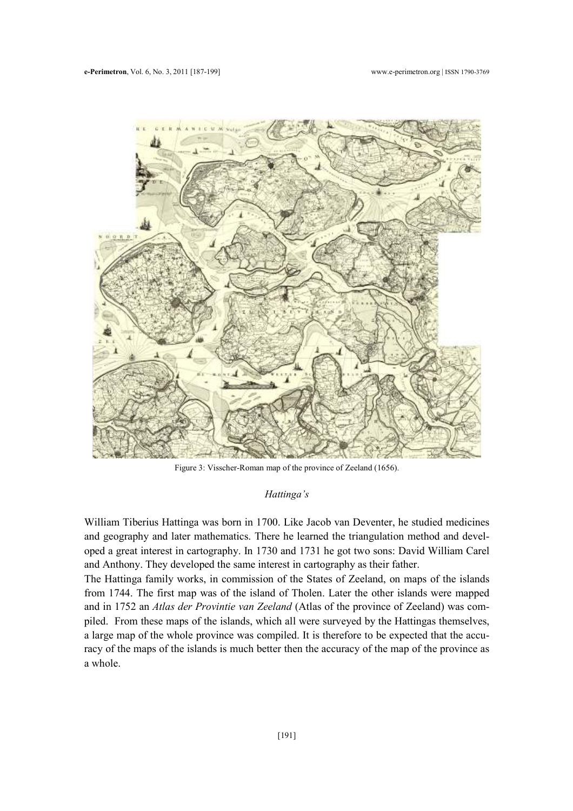

Figure 3: Visscher-Roman map of the province of Zeeland (1656).

### Hattinga's

William Tiberius Hattinga was born in 1700. Like Jacob van Deventer, he studied medicines and geography and later mathematics. There he learned the triangulation method and developed a great interest in cartography. In 1730 and 1731 he got two sons: David William Carel and Anthony. They developed the same interest in cartography as their father.

The Hattinga family works, in commission of the States of Zeeland, on maps of the islands from 1744. The first map was of the island of Tholen. Later the other islands were mapped and in 1752 an Atlas der Provintie van Zeeland (Atlas of the province of Zeeland) was compiled. From these maps of the islands, which all were surveyed by the Hattingas themselves, a large map of the whole province was compiled. It is therefore to be expected that the accuracy of the maps of the islands is much better then the accuracy of the map of the province as a whole.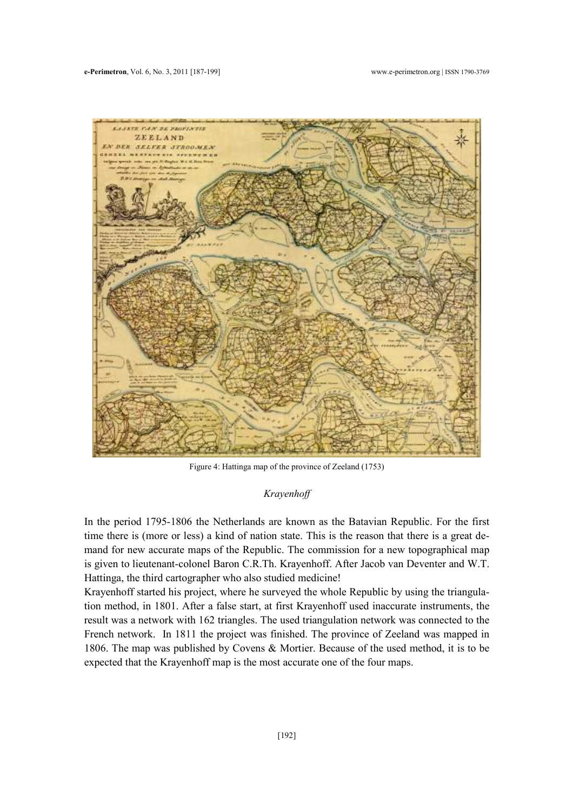

Figure 4: Hattinga map of the province of Zeeland (1753)

# Krayenhoff

In the period 1795-1806 the Netherlands are known as the Batavian Republic. For the first time there is (more or less) a kind of nation state. This is the reason that there is a great demand for new accurate maps of the Republic. The commission for a new topographical map is given to lieutenant-colonel Baron C.R.Th. Krayenhoff. After Jacob van Deventer and W.T. Hattinga, the third cartographer who also studied medicine!

Krayenhoff started his project, where he surveyed the whole Republic by using the triangulation method, in 1801. After a false start, at first Krayenhoff used inaccurate instruments, the result was a network with 162 triangles. The used triangulation network was connected to the French network. In 1811 the project was finished. The province of Zeeland was mapped in 1806. The map was published by Covens & Mortier. Because of the used method, it is to be expected that the Krayenhoff map is the most accurate one of the four maps.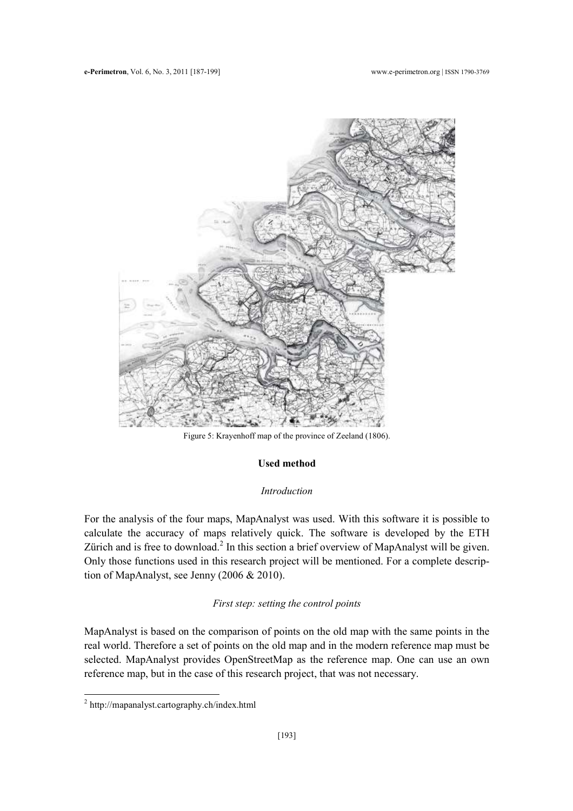

Figure 5: Krayenhoff map of the province of Zeeland (1806).

# Used method

## Introduction

For the analysis of the four maps, MapAnalyst was used. With this software it is possible to calculate the accuracy of maps relatively quick. The software is developed by the ETH Zürich and is free to download.<sup>2</sup> In this section a brief overview of MapAnalyst will be given. Only those functions used in this research project will be mentioned. For a complete description of MapAnalyst, see Jenny (2006 & 2010).

# First step: setting the control points

MapAnalyst is based on the comparison of points on the old map with the same points in the real world. Therefore a set of points on the old map and in the modern reference map must be selected. MapAnalyst provides OpenStreetMap as the reference map. One can use an own reference map, but in the case of this research project, that was not necessary.

 2 http://mapanalyst.cartography.ch/index.html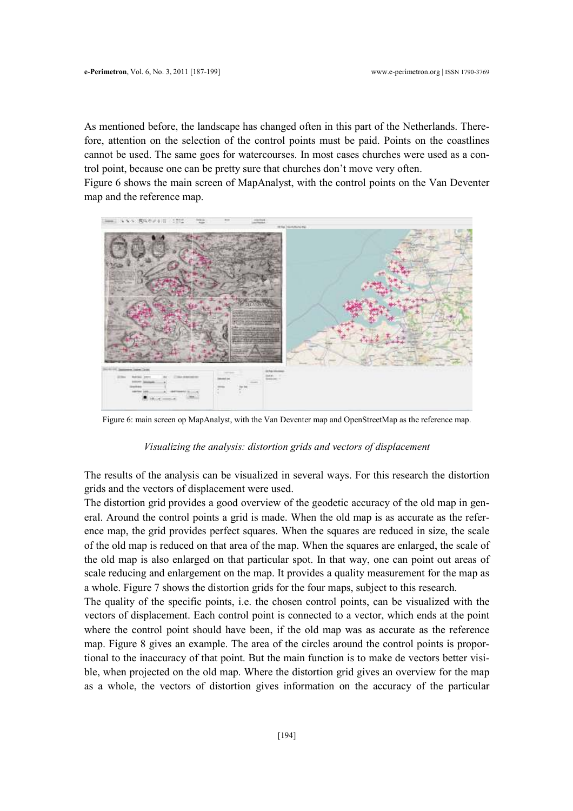As mentioned before, the landscape has changed often in this part of the Netherlands. Therefore, attention on the selection of the control points must be paid. Points on the coastlines cannot be used. The same goes for watercourses. In most cases churches were used as a control point, because one can be pretty sure that churches don't move very often.

Figure 6 shows the main screen of MapAnalyst, with the control points on the Van Deventer map and the reference map.



Figure 6: main screen op MapAnalyst, with the Van Deventer map and OpenStreetMap as the reference map.

### Visualizing the analysis: distortion grids and vectors of displacement

The results of the analysis can be visualized in several ways. For this research the distortion grids and the vectors of displacement were used.

The distortion grid provides a good overview of the geodetic accuracy of the old map in general. Around the control points a grid is made. When the old map is as accurate as the reference map, the grid provides perfect squares. When the squares are reduced in size, the scale of the old map is reduced on that area of the map. When the squares are enlarged, the scale of the old map is also enlarged on that particular spot. In that way, one can point out areas of scale reducing and enlargement on the map. It provides a quality measurement for the map as a whole. Figure 7 shows the distortion grids for the four maps, subject to this research.

The quality of the specific points, i.e. the chosen control points, can be visualized with the vectors of displacement. Each control point is connected to a vector, which ends at the point where the control point should have been, if the old map was as accurate as the reference map. Figure 8 gives an example. The area of the circles around the control points is proportional to the inaccuracy of that point. But the main function is to make de vectors better visible, when projected on the old map. Where the distortion grid gives an overview for the map as a whole, the vectors of distortion gives information on the accuracy of the particular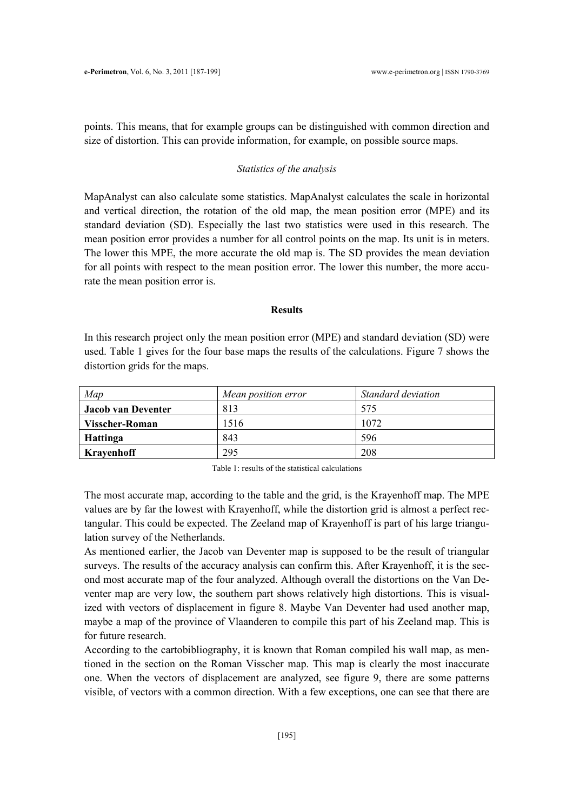points. This means, that for example groups can be distinguished with common direction and size of distortion. This can provide information, for example, on possible source maps.

### Statistics of the analysis

MapAnalyst can also calculate some statistics. MapAnalyst calculates the scale in horizontal and vertical direction, the rotation of the old map, the mean position error (MPE) and its standard deviation (SD). Especially the last two statistics were used in this research. The mean position error provides a number for all control points on the map. Its unit is in meters. The lower this MPE, the more accurate the old map is. The SD provides the mean deviation for all points with respect to the mean position error. The lower this number, the more accurate the mean position error is.

### Results

In this research project only the mean position error (MPE) and standard deviation (SD) were used. Table 1 gives for the four base maps the results of the calculations. Figure 7 shows the distortion grids for the maps.

| Map                | Mean position error | Standard deviation |  |
|--------------------|---------------------|--------------------|--|
| Jacob van Deventer | 813                 | 575                |  |
| Visscher-Roman     | 1516                | 1072               |  |
| Hattinga           | 843                 | 596                |  |
| Krayenhoff         | 295                 | 208                |  |

Table 1: results of the statistical calculations

The most accurate map, according to the table and the grid, is the Krayenhoff map. The MPE values are by far the lowest with Krayenhoff, while the distortion grid is almost a perfect rectangular. This could be expected. The Zeeland map of Krayenhoff is part of his large triangulation survey of the Netherlands.

As mentioned earlier, the Jacob van Deventer map is supposed to be the result of triangular surveys. The results of the accuracy analysis can confirm this. After Krayenhoff, it is the second most accurate map of the four analyzed. Although overall the distortions on the Van Deventer map are very low, the southern part shows relatively high distortions. This is visualized with vectors of displacement in figure 8. Maybe Van Deventer had used another map, maybe a map of the province of Vlaanderen to compile this part of his Zeeland map. This is for future research.

According to the cartobibliography, it is known that Roman compiled his wall map, as mentioned in the section on the Roman Visscher map. This map is clearly the most inaccurate one. When the vectors of displacement are analyzed, see figure 9, there are some patterns visible, of vectors with a common direction. With a few exceptions, one can see that there are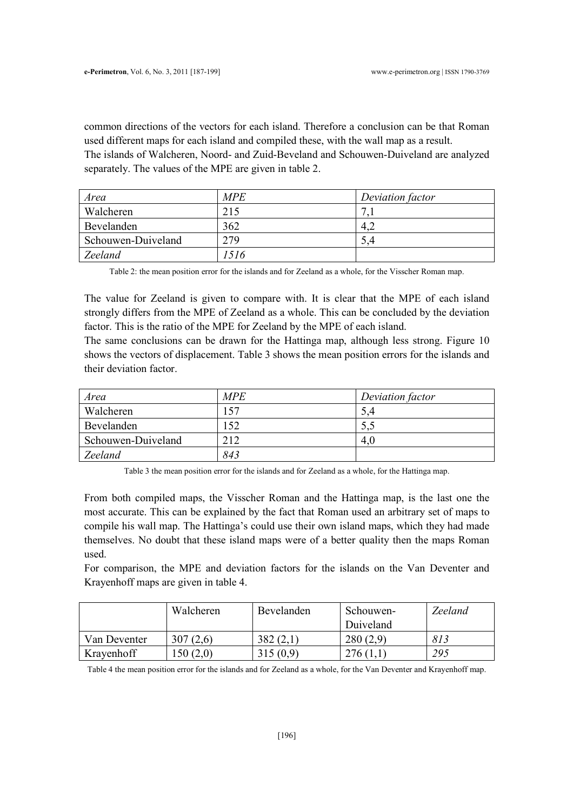common directions of the vectors for each island. Therefore a conclusion can be that Roman used different maps for each island and compiled these, with the wall map as a result. The islands of Walcheren, Noord- and Zuid-Beveland and Schouwen-Duiveland are analyzed separately. The values of the MPE are given in table 2.

| Area               | <b>MPE</b> | Deviation factor |
|--------------------|------------|------------------|
| Walcheren          | 215        |                  |
| Bevelanden         | 362        | 4.4              |
| Schouwen-Duiveland | 279        | 5.4              |
| Zeeland            | 1516       |                  |

Table 2: the mean position error for the islands and for Zeeland as a whole, for the Visscher Roman map.

The value for Zeeland is given to compare with. It is clear that the MPE of each island strongly differs from the MPE of Zeeland as a whole. This can be concluded by the deviation factor. This is the ratio of the MPE for Zeeland by the MPE of each island.

The same conclusions can be drawn for the Hattinga map, although less strong. Figure 10 shows the vectors of displacement. Table 3 shows the mean position errors for the islands and their deviation factor.

| Area               | <b>MPE</b> | Deviation factor |
|--------------------|------------|------------------|
| Walcheren          | 157        | 5.4              |
| Bevelanden         | 152        |                  |
| Schouwen-Duiveland | 212        | 4.0              |
| Zeeland            | 843        |                  |

Table 3 the mean position error for the islands and for Zeeland as a whole, for the Hattinga map.

From both compiled maps, the Visscher Roman and the Hattinga map, is the last one the most accurate. This can be explained by the fact that Roman used an arbitrary set of maps to compile his wall map. The Hattinga's could use their own island maps, which they had made themselves. No doubt that these island maps were of a better quality then the maps Roman used.

For comparison, the MPE and deviation factors for the islands on the Van Deventer and Krayenhoff maps are given in table 4.

|              | Walcheren | Bevelanden | Schouwen- | <b>Zeeland</b> |
|--------------|-----------|------------|-----------|----------------|
|              |           |            | Duiveland |                |
| Van Deventer | 307(2,6)  | 382(2,1)   | 280(2,9)  | 813            |
| Krayenhoff   | .50(2,0)  | 315(0,9)   | 276       | 295            |

Table 4 the mean position error for the islands and for Zeeland as a whole, for the Van Deventer and Krayenhoff map.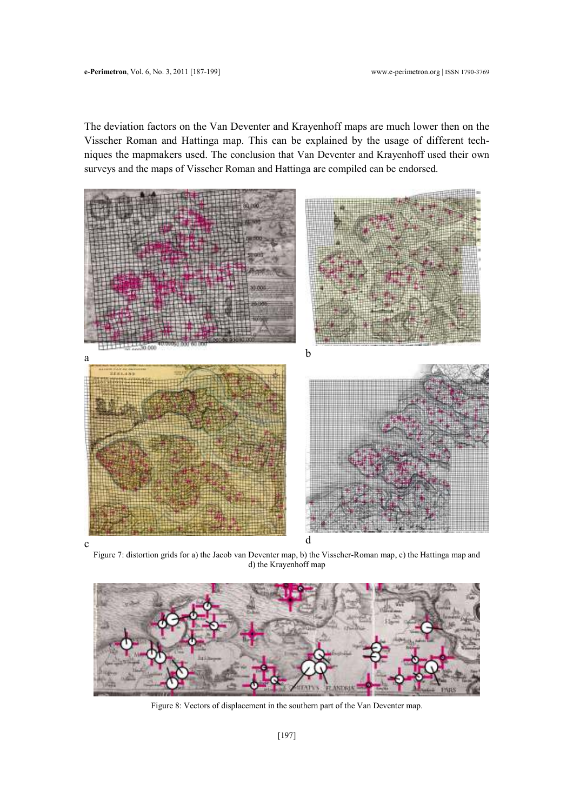The deviation factors on the Van Deventer and Krayenhoff maps are much lower then on the Visscher Roman and Hattinga map. This can be explained by the usage of different techniques the mapmakers used. The conclusion that Van Deventer and Krayenhoff used their own surveys and the maps of Visscher Roman and Hattinga are compiled can be endorsed.



Figure 7: distortion grids for a) the Jacob van Deventer map, b) the Visscher-Roman map, c) the Hattinga map and d) the Krayenhoff map



Figure 8: Vectors of displacement in the southern part of the Van Deventer map.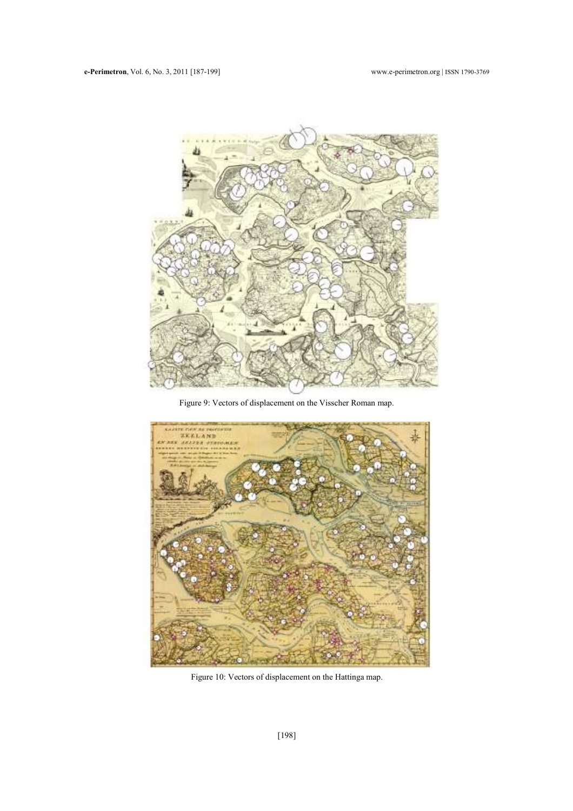

Figure 9: Vectors of displacement on the Visscher Roman map.



Figure 10: Vectors of displacement on the Hattinga map.